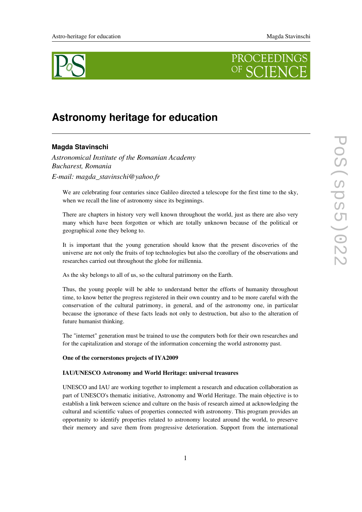



# **Astronomy heritage for education**

# **Magda Stavinschi**

*Astronomical Institute of the Romanian Academy Bucharest, Romania Email: magda\_stavinschi@yahoo.fr*

We are celebrating four centuries since Galileo directed a telescope for the first time to the sky, when we recall the line of astronomy since its beginnings.

There are chapters in history very well known throughout the world, just as there are also very many which have been forgotten or which are totally unknown because of the political or geographical zone they belong to.

It is important that the young generation should know that the present discoveries of the universe are not only the fruits of top technologies but also the corollary of the observations and researches carried out throughout the globe for millennia.

As the sky belongs to all of us, so the cultural patrimony on the Earth.

Thus, the young people will be able to understand better the efforts of humanity throughout time, to know better the progress registered in their own country and to be more careful with the conservation of the cultural patrimony, in general, and of the astronomy one, in particular because the ignorance of these facts leads not only to destruction, but also to the alteration of future humanist thinking.

The "internet" generation must be trained to use the computers both for their own researches and for the capitalization and storage of the information concerning the world astronomy past.

#### One of the cornerstones projects of IYA2009

#### IAU/UNESCO Astronomy and World Heritage: universal treasures

UNESCO and IAU are working together to implement a research and education collaboration as part of UNESCO's thematic initiative, Astronomy and World Heritage. The main objective is to establish a link between science and culture on the basis of research aimed at acknowledging the cultural and scientific values of properties connected with astronomy. This program provides an opportunity to identify properties related to astronomy located around the world, to preserve their memory and save them from progressive deterioration. Support from the international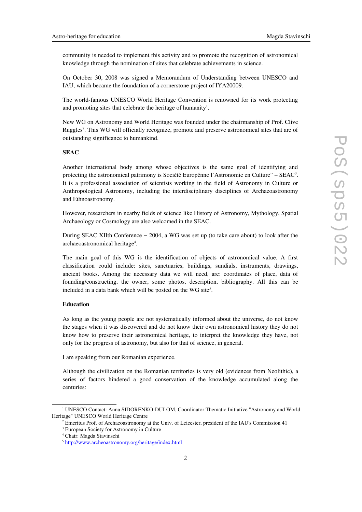community is needed to implement this activity and to promote the recognition of astronomical knowledge through the nomination of sites that celebrate achievements in science.

On October 30, 2008 was signed a Memorandum of Understanding between UNESCO and IAU, which became the foundation of a cornerstone project of IYA20009.

The world-famous UNESCO World Heritage Convention is renowned for its work protecting and promoting sites that celebrate the heritage of humanity<sup>[1](#page-1-0)</sup>.

New WG on Astronomy and World Heritage was founded under the chairmanship of Prof. Clive Ruggles<sup>[2](#page-1-1)</sup>. This WG will officially recognize, promote and preserve astronomical sites that are of outstanding significance to humankind.

## **SEAC**

Another international body among whose objectives is the same goal of identifying and protecting the astronomical patrimony is Société Europénne l'Astronomie en Culture" – SEAC<sup>[3](#page-1-2)</sup>. It is a professional association of scientists working in the field of Astronomy in Culture or Anthropological Astronomy, including the interdisciplinary disciplines of Archaeoastronomy and Ethnoastronomy.

However, researchers in nearby fields of science like History of Astronomy, Mythology, Spatial Archaeology or Cosmology are also welcomed in the SEAC.

During SEAC XIIth Conference − 2004, a WG was set up (to take care about) to look after the archaeoastronomical heritage<sup>[4](#page-1-3)</sup>.

The main goal of this WG is the identification of objects of astronomical value. A first classification could include: sites, sanctuaries, buildings, sundials, instruments, drawings, ancient books. Among the necessary data we will need, are: coordinates of place, data of founding/constructing, the owner, some photos, description, bibliography. All this can be included in a data bank which will be posted on the WG site<sup>[5](#page-1-4)</sup>.

## Education

As long as the young people are not systematically informed about the universe, do not know the stages when it was discovered and do not know their own astronomical history they do not know how to preserve their astronomical heritage, to interpret the knowledge they have, not only for the progress of astronomy, but also for that of science, in general.

I am speaking from our Romanian experience.

Although the civilization on the Romanian territories is very old (evidences from Neolithic), a series of factors hindered a good conservation of the knowledge accumulated along the centuries:

<span id="page-1-0"></span><sup>&</sup>lt;sup>1</sup> UNESCO Contact: Anna SIDORENKO-DULOM, Coordinator Thematic Initiative "Astronomy and World Heritage" UNESCO World Heritage Centre

<span id="page-1-1"></span><sup>2</sup> Emeritus Prof. of Archaeoastronomy at the Univ. of Leicester, president of the IAU's Commission 41

<span id="page-1-2"></span><sup>3</sup> European Society for Astronomy in Culture

<span id="page-1-3"></span><sup>4</sup> Chair: Magda Stavinschi

<span id="page-1-4"></span><sup>&</sup>lt;sup>5</sup> <http://www.archeoastronomy.org/heritage/index.html>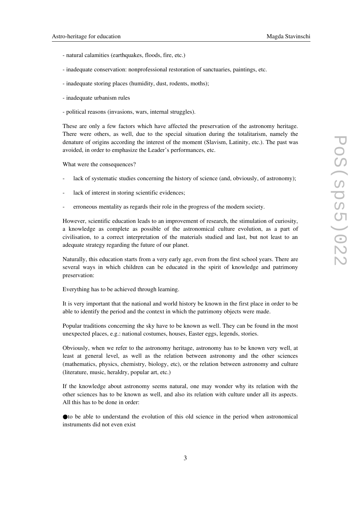- natural calamities (earthquakes, floods, fire, etc.)
- inadequate conservation: nonprofessional restoration of sanctuaries, paintings, etc.
- inadequate storing places (humidity, dust, rodents, moths);
- inadequate urbanism rules
- political reasons (invasions, wars, internal struggles).

These are only a few factors which have affected the preservation of the astronomy heritage. There were others, as well, due to the special situation during the totalitarism, namely the denature of origins according the interest of the moment (Slavism, Latinity, etc.). The past was avoided, in order to emphasize the Leader's performances, etc.

What were the consequences?

- lack of systematic studies concerning the history of science (and, obviously, of astronomy);
- lack of interest in storing scientific evidences;
- erroneous mentality as regards their role in the progress of the modern society.

However, scientific education leads to an improvement of research, the stimulation of curiosity, a knowledge as complete as possible of the astronomical culture evolution, as a part of civilisation, to a correct interpretation of the materials studied and last, but not least to an adequate strategy regarding the future of our planet.

Naturally, this education starts from a very early age, even from the first school years. There are several ways in which children can be educated in the spirit of knowledge and patrimony preservation:

Everything has to be achieved through learning.

It is very important that the national and world history be known in the first place in order to be able to identify the period and the context in which the patrimony objects were made.

Popular traditions concerning the sky have to be known as well. They can be found in the most unexpected places, e.g.: national costumes, houses, Easter eggs, legends, stories.

Obviously, when we refer to the astronomy heritage, astronomy has to be known very well, at least at general level, as well as the relation between astronomy and the other sciences (mathematics, physics, chemistry, biology, etc), or the relation between astronomy and culture (literature, music, heraldry, popular art, etc.)

If the knowledge about astronomy seems natural, one may wonder why its relation with the other sciences has to be known as well, and also its relation with culture under all its aspects. All this has to be done in order:

●to be able to understand the evolution of this old science in the period when astronomical instruments did not even exist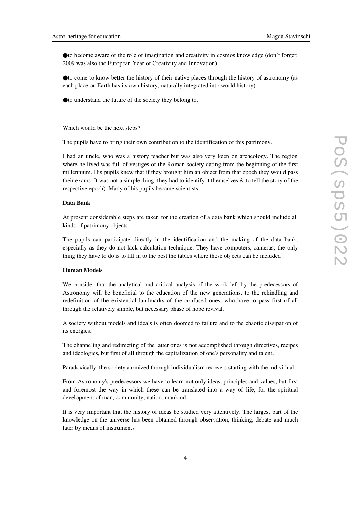●to become aware of the role of imagination and creativity in cosmos knowledge (don't forget: 2009 was also the European Year of Creativity and Innovation)

●to come to know better the history of their native places through the history of astronomy (as each place on Earth has its own history, naturally integrated into world history)

●to understand the future of the society they belong to.

Which would be the next steps?

The pupils have to bring their own contribution to the identification of this patrimony.

I had an uncle, who was a history teacher but was also very keen on archeology. The region where he lived was full of vestiges of the Roman society dating from the beginning of the first millennium. His pupils knew that if they brought him an object from that epoch they would pass their exams. It was not a simple thing: they had to identify it themselves  $\&$  to tell the story of the respective epoch). Many of his pupils became scientists

#### Data Bank

At present considerable steps are taken for the creation of a data bank which should include all kinds of patrimony objects.

The pupils can participate directly in the identification and the making of the data bank, especially as they do not lack calculation technique. They have computers, cameras; the only thing they have to do is to fill in to the best the tables where these objects can be included

## Human Models

We consider that the analytical and critical analysis of the work left by the predecessors of Astronomy will be beneficial to the education of the new generations, to the rekindling and redefinition of the existential landmarks of the confused ones, who have to pass first of all through the relatively simple, but necessary phase of hope revival.

A society without models and ideals is often doomed to failure and to the chaotic dissipation of its energies.

The channeling and redirecting of the latter ones is not accomplished through directives, recipes and ideologies, but first of all through the capitalization of one's personality and talent.

Paradoxically, the society atomized through individualism recovers starting with the individual.

From Astronomy's predecessors we have to learn not only ideas, principles and values, but first and foremost the way in which these can be translated into a way of life, for the spiritual development of man, community, nation, mankind.

It is very important that the history of ideas be studied very attentively. The largest part of the knowledge on the universe has been obtained through observation, thinking, debate and much later by means of instruments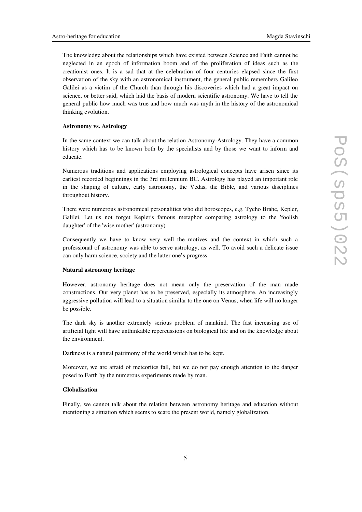The knowledge about the relationships which have existed between Science and Faith cannot be neglected in an epoch of information boom and of the proliferation of ideas such as the creationist ones. It is a sad that at the celebration of four centuries elapsed since the first observation of the sky with an astronomical instrument, the general public remembers Galileo Galilei as a victim of the Church than through his discoveries which had a great impact on science, or better said, which laid the basis of modern scientific astronomy. We have to tell the general public how much was true and how much was myth in the history of the astronomical thinking evolution.

#### Astronomy vs. Astrology

In the same context we can talk about the relation Astronomy-Astrology. They have a common history which has to be known both by the specialists and by those we want to inform and educate.

Numerous traditions and applications employing astrological concepts have arisen since its earliest recorded beginnings in the 3rd millennium BC. Astrology has played an important role in the shaping of culture, early astronomy, the Vedas, the Bible, and various disciplines throughout history.

There were numerous astronomical personalities who did horoscopes, e.g. Tycho Brahe, Kepler, Galilei. Let us not forget Kepler's famous metaphor comparing astrology to the 'foolish daughter' of the 'wise mother' (astronomy)

Consequently we have to know very well the motives and the context in which such a professional of astronomy was able to serve astrology, as well. To avoid such a delicate issue can only harm science, society and the latter one's progress.

## Natural astronomy heritage

However, astronomy heritage does not mean only the preservation of the man made constructions. Our very planet has to be preserved, especially its atmosphere. An increasingly aggressive pollution will lead to a situation similar to the one on Venus, when life will no longer be possible.

The dark sky is another extremely serious problem of mankind. The fast increasing use of artificial light will have unthinkable repercussions on biological life and on the knowledge about the environment.

Darkness is a natural patrimony of the world which has to be kept.

Moreover, we are afraid of meteorites fall, but we do not pay enough attention to the danger posed to Earth by the numerous experiments made by man.

## Globalisation

Finally, we cannot talk about the relation between astronomy heritage and education without mentioning a situation which seems to scare the present world, namely globalization.